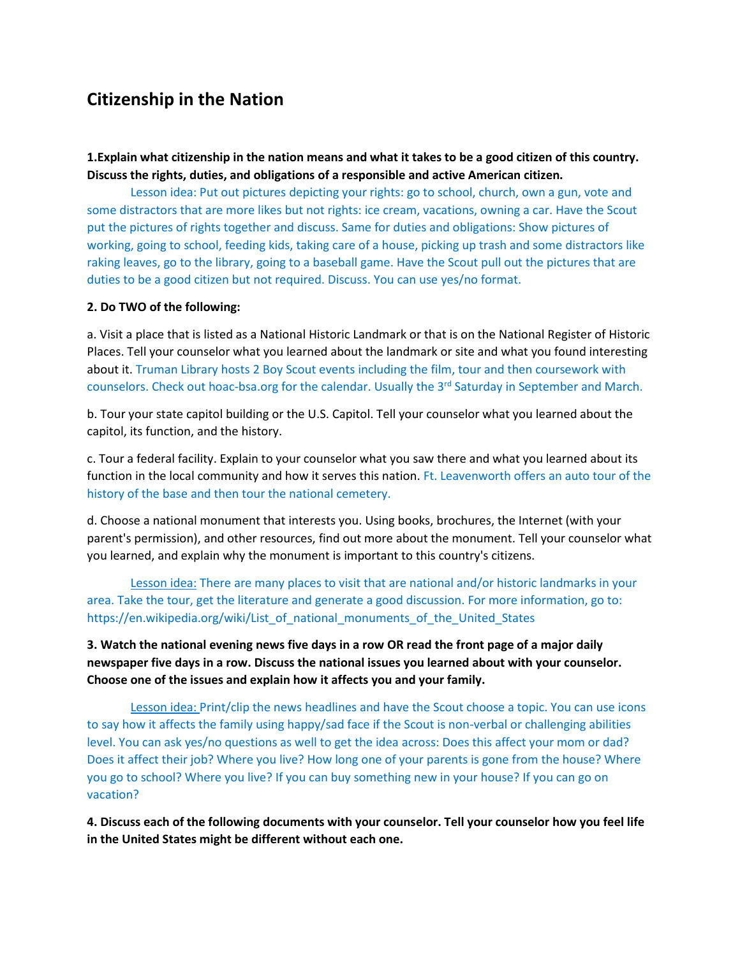## **Citizenship in the Nation**

**1.Explain what citizenship in the nation means and what it takes to be a good citizen of this country. Discuss the rights, duties, and obligations of a responsible and active American citizen.** 

Lesson idea: Put out pictures depicting your rights: go to school, church, own a gun, vote and some distractors that are more likes but not rights: ice cream, vacations, owning a car. Have the Scout put the pictures of rights together and discuss. Same for duties and obligations: Show pictures of working, going to school, feeding kids, taking care of a house, picking up trash and some distractors like raking leaves, go to the library, going to a baseball game. Have the Scout pull out the pictures that are duties to be a good citizen but not required. Discuss. You can use yes/no format.

## **2. Do TWO of the following:**

a. Visit a place that is listed as a National Historic Landmark or that is on the National Register of Historic Places. Tell your counselor what you learned about the landmark or site and what you found interesting about it. Truman Library hosts 2 Boy Scout events including the film, tour and then coursework with counselors. Check out hoac-bsa.org for the calendar. Usually the 3<sup>rd</sup> Saturday in September and March.

b. Tour your state capitol building or the U.S. Capitol. Tell your counselor what you learned about the capitol, its function, and the history.

c. Tour a federal facility. Explain to your counselor what you saw there and what you learned about its function in the local community and how it serves this nation. Ft. Leavenworth offers an auto tour of the history of the base and then tour the national cemetery.

d. Choose a national monument that interests you. Using books, brochures, the Internet (with your parent's permission), and other resources, find out more about the monument. Tell your counselor what you learned, and explain why the monument is important to this country's citizens.

Lesson idea: There are many places to visit that are national and/or historic landmarks in your area. Take the tour, get the literature and generate a good discussion. For more information, go to: https://en.wikipedia.org/wiki/List\_of\_national\_monuments\_of\_the\_United\_States

**3. Watch the national evening news five days in a row OR read the front page of a major daily newspaper five days in a row. Discuss the national issues you learned about with your counselor. Choose one of the issues and explain how it affects you and your family.** 

Lesson idea: Print/clip the news headlines and have the Scout choose a topic. You can use icons to say how it affects the family using happy/sad face if the Scout is non-verbal or challenging abilities level. You can ask yes/no questions as well to get the idea across: Does this affect your mom or dad? Does it affect their job? Where you live? How long one of your parents is gone from the house? Where you go to school? Where you live? If you can buy something new in your house? If you can go on vacation?

**4. Discuss each of the following documents with your counselor. Tell your counselor how you feel life in the United States might be different without each one.**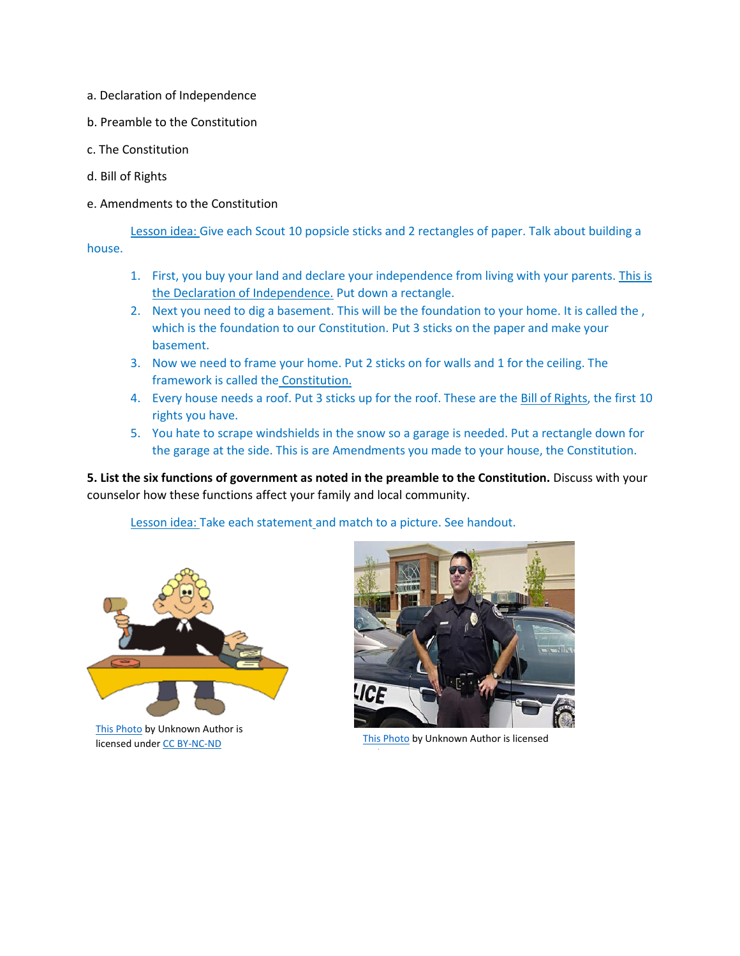- a. Declaration of Independence
- b. Preamble to the Constitution
- c. The Constitution
- d. Bill of Rights
- e. Amendments to the Constitution

Lesson idea: Give each Scout 10 popsicle sticks and 2 rectangles of paper. Talk about building a house.

- 1. First, you buy your land and declare your independence from living with your parents. This is the Declaration of Independence. Put down a rectangle.
- 2. Next you need to dig a basement. This will be the foundation to your home. It is called the, which is the foundation to our Constitution. Put 3 sticks on the paper and make your basement.
- 3. Now we need to frame your home. Put 2 sticks on for walls and 1 for the ceiling. The framework is called the Constitution.
- 4. Every house needs a roof. Put 3 sticks up for the roof. These are the **Bill of Rights**, the first 10 rights you have.
- 5. You hate to scrape windshields in the snow so a garage is needed. Put a rectangle down for the garage at the side. This is are Amendments you made to your house, the Constitution.

**5. List the six functions of government as noted in the preamble to the Constitution.** Discuss with your counselor how these functions affect your family and local community.

Lesson idea: Take each statement and match to a picture. See handout.



[This Photo](http://vivek-uvaach.blogspot.com/2008_11_01_archive.html) by Unknown Author is Inis Photo by Unknown Author is licensed<br>Inis Photo by Unknown Author is licensed

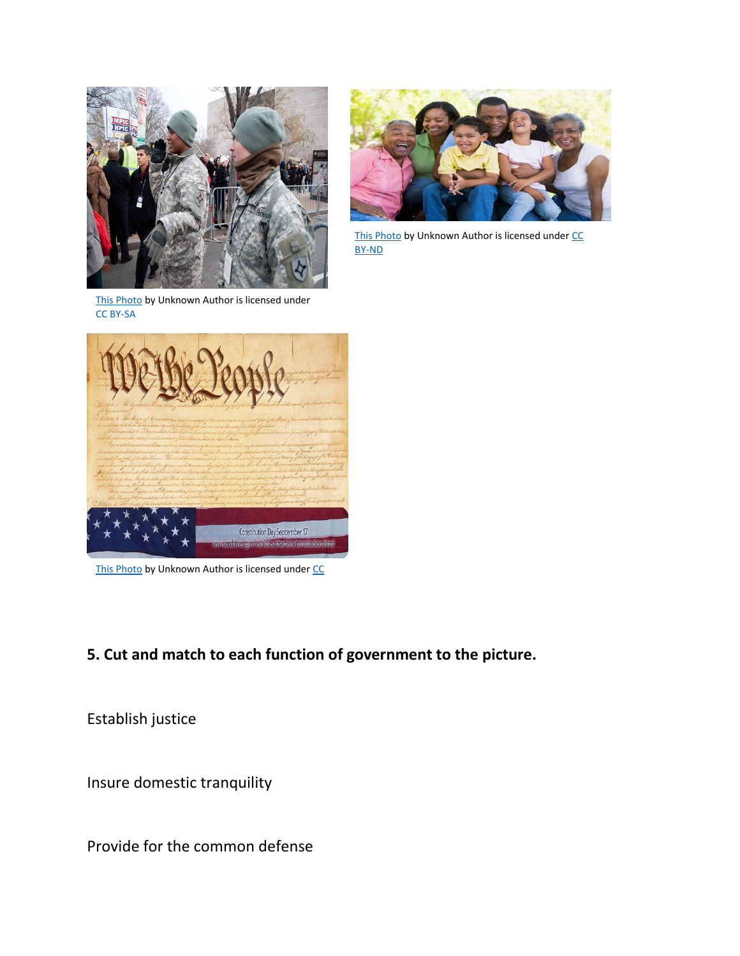



[This Photo](http://globalhealthaging.org/) by Unknown Author is licensed under CC [BY-ND](https://creativecommons.org/licenses/by-nd/3.0/)

[This Photo](https://commons.wikimedia.org/wiki/File:U.S._Soldiers_with_the_Florida_Army_National_Guard_direct_spectators_during_the_presidential_inauguration_in_Washington,_D.C_130121-Z-JM126-005.jpg) by Unknown Author is licensed under [CC BY-SA](https://creativecommons.org/licenses/by-sa/3.0/)



[This Photo](http://aportman.deviantart.com/art/constitution-day-wallpaper-179357077) by Unknown Author is licensed under CC

## **5. Cut and match to each function of government to the picture.**

Establish justice

Insure domestic tranquility

Provide for the common defense